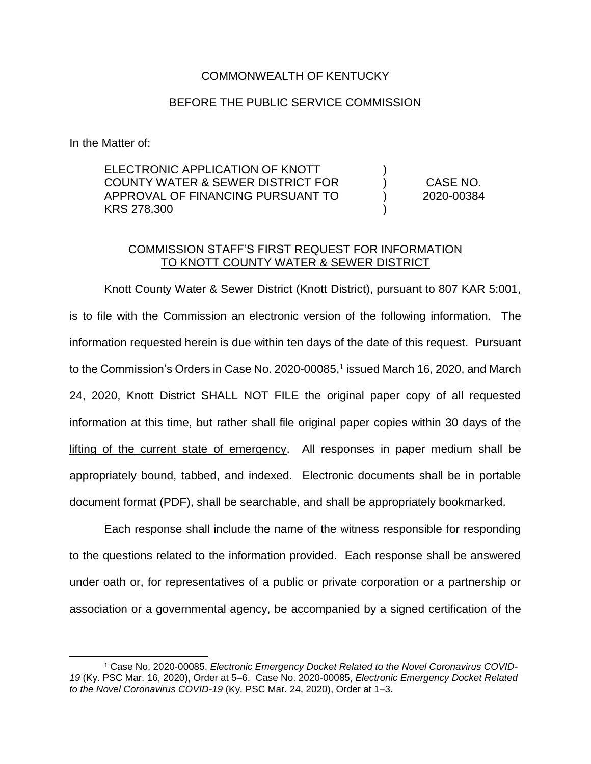## COMMONWEALTH OF KENTUCKY

## BEFORE THE PUBLIC SERVICE COMMISSION

In the Matter of:

 $\overline{a}$ 

ELECTRONIC APPLICATION OF KNOTT COUNTY WATER & SEWER DISTRICT FOR APPROVAL OF FINANCING PURSUANT TO KRS 278.300 ) ) ) ) CASE NO. 2020-00384

## COMMISSION STAFF'S FIRST REQUEST FOR INFORMATION TO KNOTT COUNTY WATER & SEWER DISTRICT

Knott County Water & Sewer District (Knott District), pursuant to 807 KAR 5:001, is to file with the Commission an electronic version of the following information. The information requested herein is due within ten days of the date of this request. Pursuant to the Commission's Orders in Case No. 2020-00085,<sup>1</sup> issued March 16, 2020, and March 24, 2020, Knott District SHALL NOT FILE the original paper copy of all requested information at this time, but rather shall file original paper copies within 30 days of the lifting of the current state of emergency. All responses in paper medium shall be appropriately bound, tabbed, and indexed. Electronic documents shall be in portable document format (PDF), shall be searchable, and shall be appropriately bookmarked.

Each response shall include the name of the witness responsible for responding to the questions related to the information provided. Each response shall be answered under oath or, for representatives of a public or private corporation or a partnership or association or a governmental agency, be accompanied by a signed certification of the

<sup>1</sup> Case No. 2020-00085, *Electronic Emergency Docket Related to the Novel Coronavirus COVID-19* (Ky. PSC Mar. 16, 2020), Order at 5–6. Case No. 2020-00085, *Electronic Emergency Docket Related to the Novel Coronavirus COVID-19* (Ky. PSC Mar. 24, 2020), Order at 1–3.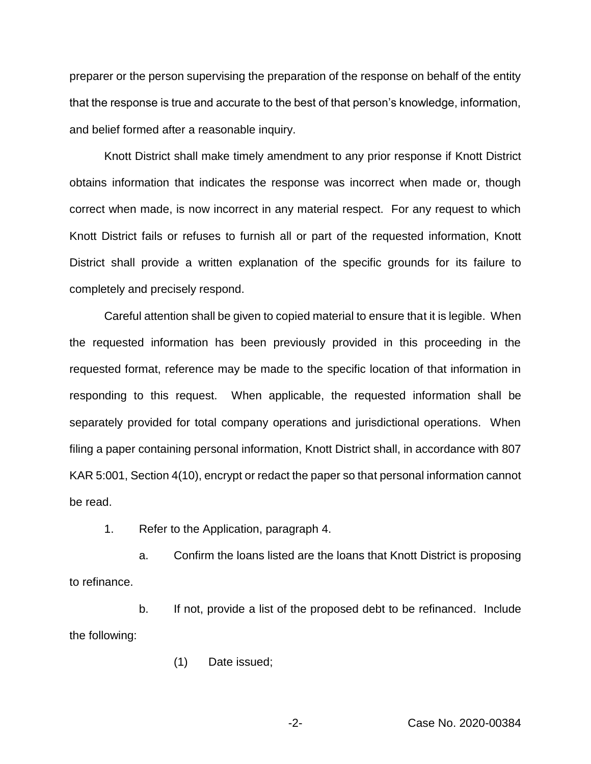preparer or the person supervising the preparation of the response on behalf of the entity that the response is true and accurate to the best of that person's knowledge, information, and belief formed after a reasonable inquiry.

Knott District shall make timely amendment to any prior response if Knott District obtains information that indicates the response was incorrect when made or, though correct when made, is now incorrect in any material respect. For any request to which Knott District fails or refuses to furnish all or part of the requested information, Knott District shall provide a written explanation of the specific grounds for its failure to completely and precisely respond.

Careful attention shall be given to copied material to ensure that it is legible. When the requested information has been previously provided in this proceeding in the requested format, reference may be made to the specific location of that information in responding to this request. When applicable, the requested information shall be separately provided for total company operations and jurisdictional operations. When filing a paper containing personal information, Knott District shall, in accordance with 807 KAR 5:001, Section 4(10), encrypt or redact the paper so that personal information cannot be read.

1. Refer to the Application, paragraph 4.

a. Confirm the loans listed are the loans that Knott District is proposing to refinance.

b. If not, provide a list of the proposed debt to be refinanced. Include the following:

(1) Date issued;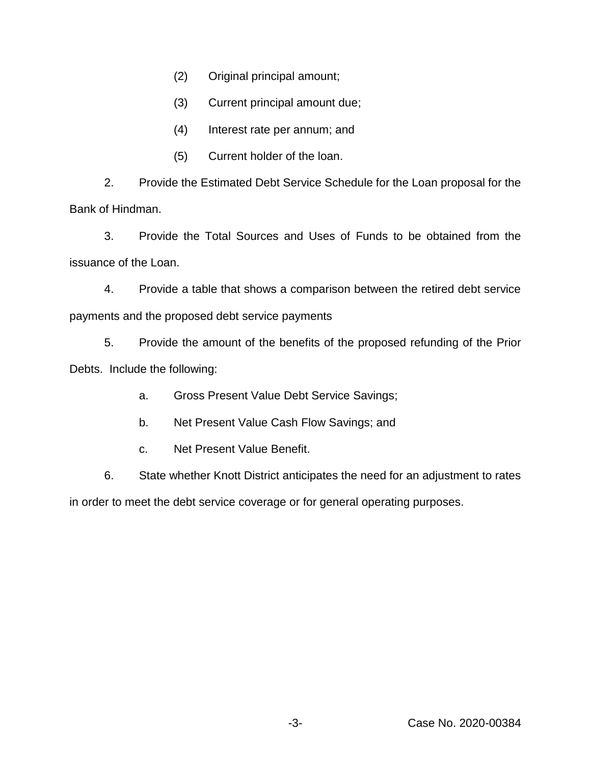- (2) Original principal amount;
- (3) Current principal amount due;
- (4) Interest rate per annum; and
- (5) Current holder of the loan.

2. Provide the Estimated Debt Service Schedule for the Loan proposal for the Bank of Hindman.

3. Provide the Total Sources and Uses of Funds to be obtained from the issuance of the Loan.

4. Provide a table that shows a comparison between the retired debt service payments and the proposed debt service payments

5. Provide the amount of the benefits of the proposed refunding of the Prior Debts. Include the following:

a. Gross Present Value Debt Service Savings;

- b. Net Present Value Cash Flow Savings; and
- c. Net Present Value Benefit.

6. State whether Knott District anticipates the need for an adjustment to rates

in order to meet the debt service coverage or for general operating purposes.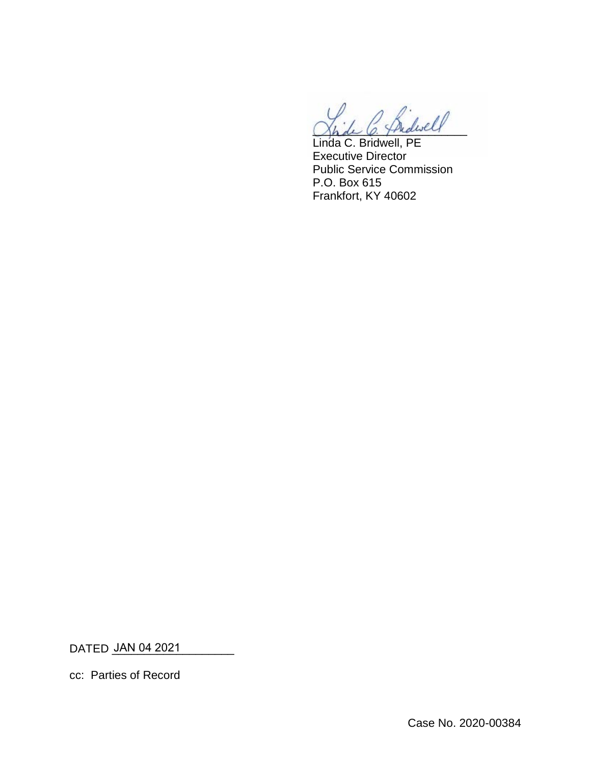$\omega$ 

Linda C. Bridwell, PE Executive Director Public Service Commission P.O. Box 615 Frankfort, KY 40602

DATED <u>JAN 04 2021 \_\_\_\_\_\_\_\_</u>

cc: Parties of Record